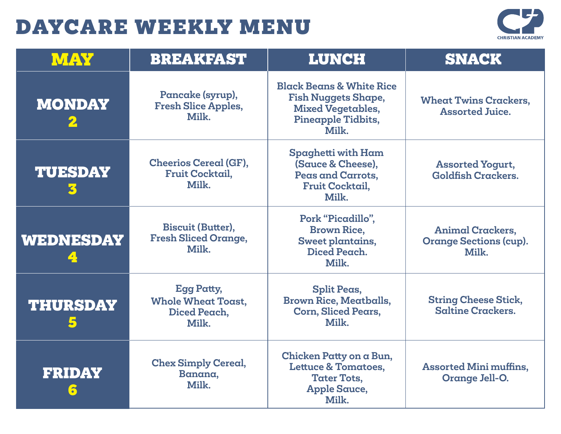

| MAY                           | <b>BREAKFAST</b>                                                        | <b>LUNCH</b>                                                                                                                 | <b>SNACK</b>                                                      |
|-------------------------------|-------------------------------------------------------------------------|------------------------------------------------------------------------------------------------------------------------------|-------------------------------------------------------------------|
| <b>MONDAY</b><br>$\mathbf{2}$ | Pancake (syrup),<br><b>Fresh Slice Apples,</b><br>Milk.                 | <b>Black Beans &amp; White Rice</b><br><b>Fish Nuggets Shape,</b><br><b>Mixed Vegetables,</b><br>Pineapple Tidbits,<br>Milk. | <b>Wheat Twins Crackers,</b><br><b>Assorted Juice.</b>            |
| <b>TUESDAY</b><br>3           | <b>Cheerios Cereal (GF),</b><br>Fruit Cocktail,<br>Milk.                | Spaghetti with Ham<br>(Sauce & Cheese),<br>Peas and Carrots,<br><b>Fruit Cocktail,</b><br>Milk.                              | <b>Assorted Yogurt,</b><br><b>Goldfish Crackers.</b>              |
| <b>WEDNESDAY</b>              | <b>Biscuit (Butter),</b><br><b>Fresh Sliced Orange,</b><br>Milk.        | Pork "Picadillo",<br><b>Brown Rice,</b><br>Sweet plantains,<br>Diced Peach.<br>Milk.                                         | <b>Animal Crackers,</b><br><b>Orange Sections (cup).</b><br>Milk. |
| <b>THURSDAY</b>               | <b>Egg Patty,</b><br><b>Whole Wheat Toast,</b><br>Diced Peach,<br>Milk. | <b>Split Peas,</b><br><b>Brown Rice, Meatballs,</b><br><b>Corn, Sliced Pears,</b><br>Milk.                                   | <b>String Cheese Stick,</b><br><b>Saltine Crackers.</b>           |
| <b>FRIDAY</b>                 | <b>Chex Simply Cereal,</b><br>Banana,<br>Milk.                          | Chicken Patty on a Bun,<br><b>Lettuce &amp; Tomatoes,</b><br><b>Tater Tots,</b><br><b>Apple Sauce,</b><br>Milk.              | <b>Assorted Mini muffins,</b><br>Orange Jell-O.                   |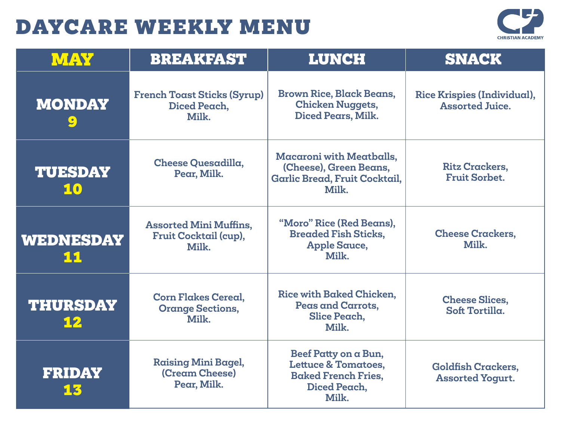

| MAY                   | <b>BREAKFAST</b>                                                | <b>LUNCH</b>                                                                                                  | <b>SNACK</b>                                          |
|-----------------------|-----------------------------------------------------------------|---------------------------------------------------------------------------------------------------------------|-------------------------------------------------------|
| <b>MONDAY</b><br>9    | <b>French Toast Sticks (Syrup)</b><br>Diced Peach,<br>Milk.     | <b>Brown Rice, Black Beans,</b><br><b>Chicken Nuggets,</b><br>Diced Pears, Milk.                              | Rice Krispies (Individual),<br><b>Assorted Juice.</b> |
| <b>TUESDAY</b><br>10  | Cheese Quesadilla,<br>Pear, Milk.                               | <b>Macaroni with Meatballs,</b><br>(Cheese), Green Beans,<br>Garlic Bread, Fruit Cocktail,<br>Milk.           | <b>Ritz Crackers,</b><br><b>Fruit Sorbet.</b>         |
| WEDNESDAY<br>11       | <b>Assorted Mini Muffins,</b><br>Fruit Cocktail (cup),<br>Milk. | "Moro" Rice (Red Beans),<br><b>Breaded Fish Sticks,</b><br><b>Apple Sauce,</b><br>Milk.                       | <b>Cheese Crackers,</b><br>Milk.                      |
| <b>THURSDAY</b><br>12 | <b>Corn Flakes Cereal.</b><br><b>Orange Sections,</b><br>Milk.  | Rice with Baked Chicken.<br>Peas and Carrots,<br>Slice Peach,<br>Milk.                                        | <b>Cheese Slices,</b><br>Soft Tortilla.               |
| <b>FRIDAY</b><br>13   | <b>Raising Mini Bagel,</b><br>(Cream Cheese)<br>Pear, Milk.     | Beef Patty on a Bun,<br><b>Lettuce &amp; Tomatoes,</b><br><b>Baked French Fries,</b><br>Diced Peach,<br>Milk. | <b>Goldfish Crackers,</b><br><b>Assorted Yogurt.</b>  |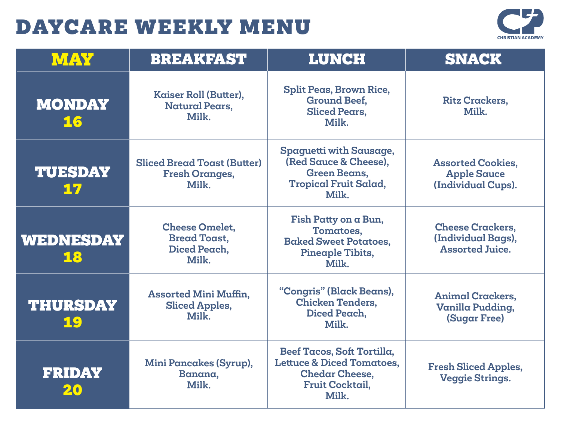

| MAY                   | <b>BREAKFAST</b>                                                      | <b>LUNCH</b>                                                                                                                   | <b>SNACK</b>                                                            |
|-----------------------|-----------------------------------------------------------------------|--------------------------------------------------------------------------------------------------------------------------------|-------------------------------------------------------------------------|
| <b>MONDAY</b><br>16   | Kaiser Roll (Butter),<br><b>Natural Pears,</b><br>Milk.               | <b>Split Peas, Brown Rice,</b><br><b>Ground Beef,</b><br><b>Sliced Pears.</b><br>Milk.                                         | <b>Ritz Crackers,</b><br>Milk.                                          |
| <b>TUESDAY</b><br>17  | <b>Sliced Bread Toast (Butter)</b><br><b>Fresh Oranges,</b><br>Milk.  | Spaguetti with Sausage,<br>(Red Sauce & Cheese).<br><b>Green Beans,</b><br><b>Tropical Fruit Salad,</b><br>Milk.               | <b>Assorted Cookies,</b><br><b>Apple Sauce</b><br>(Individual Cups).    |
| WEDNESDAY<br>18       | <b>Cheese Omelet,</b><br><b>Bread Toast,</b><br>Diced Peach.<br>Milk. | Fish Patty on a Bun,<br>Tomatoes,<br><b>Baked Sweet Potatoes,</b><br>Pineaple Tibits,<br>Milk.                                 | <b>Cheese Crackers,</b><br>(Individual Bags),<br><b>Assorted Juice.</b> |
| <b>THURSDAY</b><br>19 | <b>Assorted Mini Muffin,</b><br><b>Sliced Apples,</b><br>Milk.        | "Congris" (Black Beans),<br><b>Chicken Tenders,</b><br>Diced Peach,<br>Milk.                                                   | <b>Animal Crackers,</b><br>Vanilla Pudding,<br><b>(Sugar Free)</b>      |
| <b>FRIDAY</b><br>20   | Mini Pancakes (Syrup),<br>Banana,<br>Milk.                            | Beef Tacos, Soft Tortilla,<br><b>Lettuce &amp; Diced Tomatoes,</b><br><b>Chedar Cheese,</b><br><b>Fruit Cocktail,</b><br>Milk. | <b>Fresh Sliced Apples,</b><br><b>Veggie Strings.</b>                   |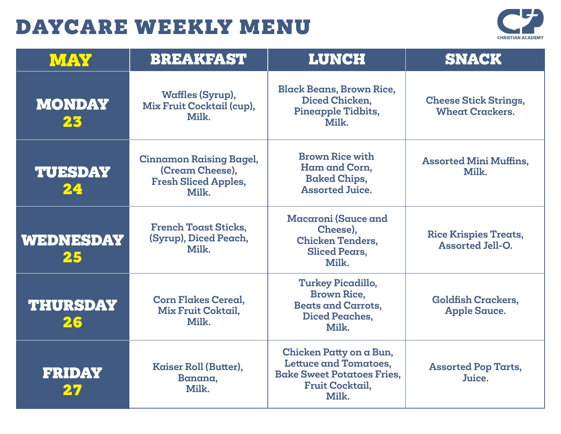

| <b>MAY</b>            | <b>BREAKFAST</b>                                                                          | <b>LUNCH</b>                                                                                                                    | <b>SNACK</b>                                            |
|-----------------------|-------------------------------------------------------------------------------------------|---------------------------------------------------------------------------------------------------------------------------------|---------------------------------------------------------|
| <b>MONDAY</b><br>23   | <b>Waffles (Syrup),</b><br>Mix Fruit Cocktail (cup),<br>Milk.                             | <b>Black Beans, Brown Rice,</b><br>Diced Chicken,<br>Pineapple Tidbits,<br>Milk.                                                | <b>Cheese Stick Strings,</b><br><b>Wheat Crackers.</b>  |
| <b>TUESDAY</b><br>24  | <b>Cinnamon Raising Bagel,</b><br>(Cream Cheese),<br><b>Fresh Sliced Apples,</b><br>Milk. | <b>Brown Rice with</b><br>Ham and Corn,<br><b>Baked Chips,</b><br><b>Assorted Juice.</b>                                        | <b>Assorted Mini Muffins,</b><br>Milk.                  |
| WEDNESDAY<br>25       | <b>French Toast Sticks,</b><br>(Syrup), Diced Peach,<br>Milk.                             | Macaroni (Sauce and<br>Cheese),<br><b>Chicken Tenders.</b><br><b>Sliced Pears,</b><br>Milk.                                     | <b>Rice Krispies Treats,</b><br><b>Assorted Jell-O.</b> |
| <b>THURSDAY</b><br>26 | <b>Corn Flakes Cereal,</b><br>Mix Fruit Coktail,<br>Milk.                                 | <b>Turkey Picadillo,</b><br><b>Brown Rice.</b><br><b>Beats and Carrots,</b><br><b>Diced Peaches,</b><br>Milk.                   | <b>Goldfish Crackers,</b><br><b>Apple Sauce.</b>        |
| <b>FRIDAY</b>         | Kaiser Roll (Butter),<br>Banana,<br>Milk.                                                 | Chicken Patty on a Bun,<br><b>Lettuce and Tomatoes,</b><br><b>Bake Sweet Potatoes Fries,</b><br><b>Fruit Cocktail,</b><br>Milk. | <b>Assorted Pop Tarts,</b><br>Juice.                    |